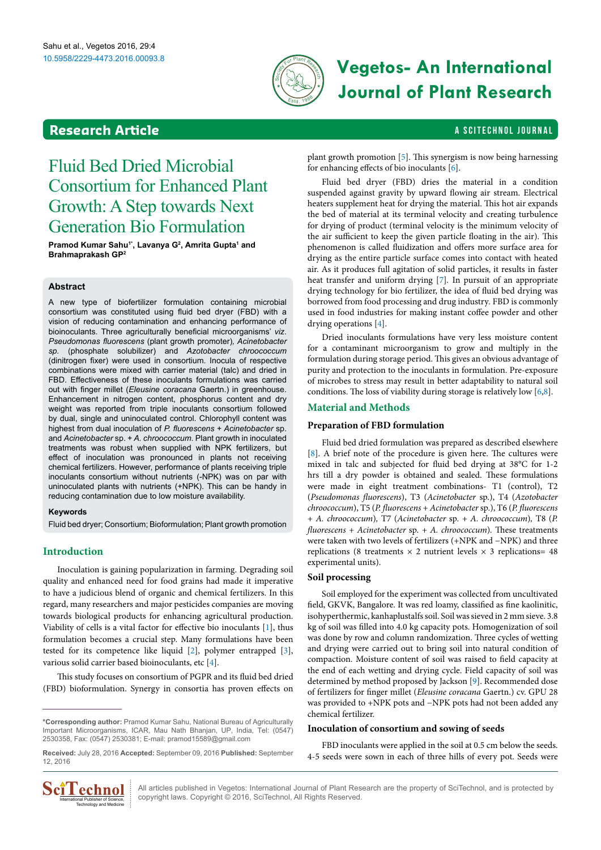

# 10.5958/2229-4473.2016.00093.8 **Vegetos- An International Journal of Plant Research**

# <span id="page-0-0"></span>**Research Article a Scitement Article** a Scitement A Scitement A Scitement Journal

# Fluid Bed Dried Microbial Consortium for Enhanced Plant Growth: A Step towards Next Generation Bio Formulation

Pramod Kumar Sahu<sup>1\*</sup>, Lavanya G<sup>2</sup>, Amrita Gupta<sup>1</sup> and **Brahmaprakash GP2**

#### **Abstract**

A new type of biofertilizer formulation containing microbial consortium was constituted using fluid bed dryer (FBD) with a vision of reducing contamination and enhancing performance of bioinoculants. Three agriculturally beneficial microorganisms' *viz*. *Pseudomonas fluorescens* (plant growth promoter)*, Acinetobacter sp.* (phosphate solubilizer) and *Azotobacter chroococcum* (dinitrogen fixer) were used in consortium. Inocula of respective combinations were mixed with carrier material (talc) and dried in FBD. Effectiveness of these inoculants formulations was carried out with finger millet (*Eleusine coracana* Gaertn.) in greenhouse. Enhancement in nitrogen content, phosphorus content and dry weight was reported from triple inoculants consortium followed by dual, single and uninoculated control. Chlorophyll content was highest from dual inoculation of *P. fluorescens* + *Acinetobacter* sp. and *Acinetobacter* sp. + *A. chroococcum*. Plant growth in inoculated treatments was robust when supplied with NPK fertilizers, but effect of inoculation was pronounced in plants not receiving chemical fertilizers. However, performance of plants receiving triple inoculants consortium without nutrients (-NPK) was on par with uninoculated plants with nutrients (+NPK). This can be handy in reducing contamination due to low moisture availability.

#### **Keywords**

Fluid bed dryer; Consortium; Bioformulation; Plant growth promotion

## **Introduction**

Inoculation is gaining popularization in farming. Degrading soil quality and enhanced need for food grains had made it imperative to have a judicious blend of organic and chemical fertilizers. In this regard, many researchers and major pesticides companies are moving towards biological products for enhancing agricultural production. Viability of cells is a vital factor for effective bio inoculants [[1](#page-3-0)], thus formulation becomes a crucial step. Many formulations have been tested for its competence like liquid [[2](#page-3-1)], polymer entrapped [\[3](#page-3-2)], various solid carrier based bioinoculants, etc [[4\]](#page-3-3).

This study focuses on consortium of PGPR and its fluid bed dried (FBD) bioformulation. Synergy in consortia has proven effects on

**Received:** July 28, 2016 **Accepted:** September 09, 2016 **Published:** September 12, 2016



plant growth promotion [\[5\]](#page-3-4). This synergism is now being harnessing for enhancing effects of bio inoculants [[6](#page-3-5)].

Fluid bed dryer (FBD) dries the material in a condition suspended against gravity by upward flowing air stream. Electrical heaters supplement heat for drying the material. This hot air expands the bed of material at its terminal velocity and creating turbulence for drying of product (terminal velocity is the minimum velocity of the air sufficient to keep the given particle floating in the air). This phenomenon is called fluidization and offers more surface area for drying as the entire particle surface comes into contact with heated air. As it produces full agitation of solid particles, it results in faster heat transfer and uniform drying [\[7\]](#page-4-0)*.* In pursuit of an appropriate drying technology for bio fertilizer, the idea of fluid bed drying was borrowed from food processing and drug industry*.* FBD is commonly used in food industries for making instant coffee powder and other drying operations [[4](#page-3-3)].

Dried inoculants formulations have very less moisture content for a contaminant microorganism to grow and multiply in the formulation during storage period. This gives an obvious advantage of purity and protection to the inoculants in formulation. Pre-exposure of microbes to stress may result in better adaptability to natural soil conditions. The loss of viability during storage is relatively low [\[6,](#page-3-5)[8\]](#page-4-1).

## **Material and Methods**

#### **Preparation of FBD formulation**

Fluid bed dried formulation was prepared as described elsewhere [[8](#page-4-1)]. A brief note of the procedure is given here. The cultures were mixed in talc and subjected for fluid bed drying at 38°C for 1-2 hrs till a dry powder is obtained and sealed. These formulations were made in eight treatment combinations- T1 (control), T2 (*Pseudomonas fluorescens*), T3 (*Acinetobacter* sp.), T4 (*Azotobacter chroococcum*), T5 (*P. fluorescens* + *Acinetobacter* sp.), T6 (*P. fluorescens*  + *A. chroococcum*)*,* T7 (*Acinetobacter* sp. *+ A. chroococcum*)*,* T8 (*P. fluorescens + Acinetobacter* sp. *+ A. chroococcum*)*.* These treatments were taken with two levels of fertilizers (+NPK and −NPK) and three replications (8 treatments  $\times$  2 nutrient levels  $\times$  3 replications= 48 experimental units).

#### **Soil processing**

Soil employed for the experiment was collected from uncultivated field, GKVK, Bangalore. It was red loamy, classified as fine kaolinitic, isohyperthermic, kanhaplustalfs soil. Soil was sieved in 2 mm sieve. 3.8 kg of soil was filled into 4.0 kg capacity pots. Homogenization of soil was done by row and column randomization. Three cycles of wetting and drying were carried out to bring soil into natural condition of compaction. Moisture content of soil was raised to field capacity at the end of each wetting and drying cycle. Field capacity of soil was determined by method proposed by Jackson [\[9\]](#page-4-2). Recommended dose of fertilizers for finger millet (*Eleusine coracana* Gaertn.) cv. GPU 28 was provided to +NPK pots and −NPK pots had not been added any chemical fertilizer.

#### **Inoculation of consortium and sowing of seeds**

FBD inoculants were applied in the soil at 0.5 cm below the seeds. 4-5 seeds were sown in each of three hills of every pot. Seeds were

All articles published in Vegetos: International Journal of Plant Research are the property of SciTechnol, and is protected by copyright laws. Copyright © 2016, SciTechnol, All Rights Reserved.

**<sup>\*</sup>Corresponding author:** Pramod Kumar Sahu, National Bureau of Agriculturally Important Microorganisms, ICAR, Mau Nath Bhanjan, UP, India, Tel: (0547) 2530358, Fax: (0547) 2530381; E-mail: [pramod15589@gmail.com](mailto:pramod15589@gmail.com)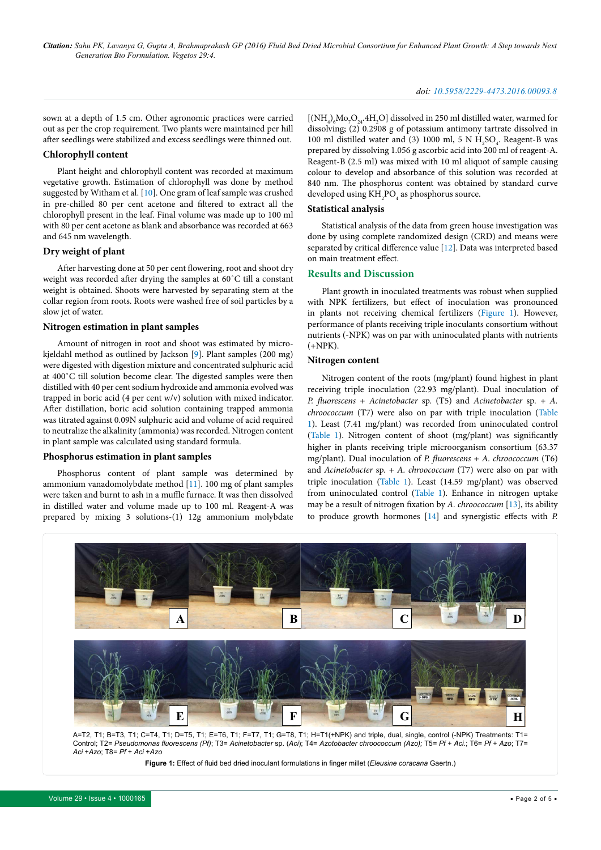sown at a depth of 1.5 cm. Other agronomic practices were carried out as per the crop requirement. Two plants were maintained per hill after seedlings were stabilized and excess seedlings were thinned out.

#### **Chlorophyll content**

Plant height and chlorophyll content was recorded at maximum vegetative growth. Estimation of chlorophyll was done by method suggested by Witham et al. [[10](#page-4-3)]. One gram of leaf sample was crushed in pre-chilled 80 per cent acetone and filtered to extract all the chlorophyll present in the leaf. Final volume was made up to 100 ml with 80 per cent acetone as blank and absorbance was recorded at 663 and 645 nm wavelength.

#### **Dry weight of plant**

After harvesting done at 50 per cent flowering, root and shoot dry weight was recorded after drying the samples at 60˚C till a constant weight is obtained. Shoots were harvested by separating stem at the collar region from roots. Roots were washed free of soil particles by a slow jet of water.

#### **Nitrogen estimation in plant samples**

Amount of nitrogen in root and shoot was estimated by microkjeldahl method as outlined by Jackson [\[9\]](#page-4-2). Plant samples (200 mg) were digested with digestion mixture and concentrated sulphuric acid at 400˚C till solution become clear. The digested samples were then distilled with 40 per cent sodium hydroxide and ammonia evolved was trapped in boric acid (4 per cent w/v) solution with mixed indicator. After distillation, boric acid solution containing trapped ammonia was titrated against 0.09N sulphuric acid and volume of acid required to neutralize the alkalinity (ammonia) was recorded. Nitrogen content in plant sample was calculated using standard formula.

### **Phosphorus estimation in plant samples**

Phosphorus content of plant sample was determined by ammonium vanadomolybdate method [\[11\]](#page-4-4). 100 mg of plant samples were taken and burnt to ash in a muffle furnace. It was then dissolved in distilled water and volume made up to 100 ml. Reagent-A was prepared by mixing 3 solutions-(1) 12g ammonium molybdate  ${\rm [(NH_4)_6Mo_7O_{24}.4H_2O]}$  dissolved in 250 ml distilled water, warmed for dissolving; (2) 0.2908 g of potassium antimony tartrate dissolved in 100 ml distilled water and (3) 1000 ml, 5 N  $H_2SO_4$ . Reagent-B was prepared by dissolving 1.056 g ascorbic acid into 200 ml of reagent-A. Reagent-B (2.5 ml) was mixed with 10 ml aliquot of sample causing colour to develop and absorbance of this solution was recorded at 840 nm. The phosphorus content was obtained by standard curve developed using  $\rm KH_{2}PO_{4}$  as phosphorus source.

#### **Statistical analysis**

Statistical analysis of the data from green house investigation was done by using complete randomized design (CRD) and means were separated by critical difference value [[12](#page-4-5)]. Data was interpreted based on main treatment effect.

#### **Results and Discussion**

Plant growth in inoculated treatments was robust when supplied with NPK fertilizers, but effect of inoculation was pronounced in plants not receiving chemical fertilizers ([Figure 1\)](#page-1-0). However, performance of plants receiving triple inoculants consortium without nutrients (-NPK) was on par with uninoculated plants with nutrients (+NPK).

#### **Nitrogen content**

Nitrogen content of the roots (mg/plant) found highest in plant receiving triple inoculation (22.93 mg/plant). Dual inoculation of *P. fluorescens* + *Acinetobacter* sp. (T5) and *Acinetobacter* sp. *+ A. chroococcum* (T7) were also on par with triple inoculation ([Table](#page-2-0)  [1](#page-2-0)). Least (7.41 mg/plant) was recorded from uninoculated control ([Table 1\)](#page-2-0). Nitrogen content of shoot (mg/plant) was significantly higher in plants receiving triple microorganism consortium (63.37 mg/plant). Dual inoculation of *P. fluorescens* + *A. chroococcum* (T6) and *Acinetobacter* sp. *+ A. chroococcum* (T7) were also on par with triple inoculation ([Table 1](#page-2-0)). Least (14.59 mg/plant) was observed from uninoculated control ([Table 1](#page-2-0)). Enhance in nitrogen uptake may be a result of nitrogen fixation by *A. chroococcum* [\[13\]](#page-4-6), its ability to produce growth hormones [[14](#page-4-7)] and synergistic effects with *P.* 

<span id="page-1-0"></span>

**Figure 1:** Effect of fluid bed dried inoculant formulations in finger millet (*Eleusine coracana* Gaertn.)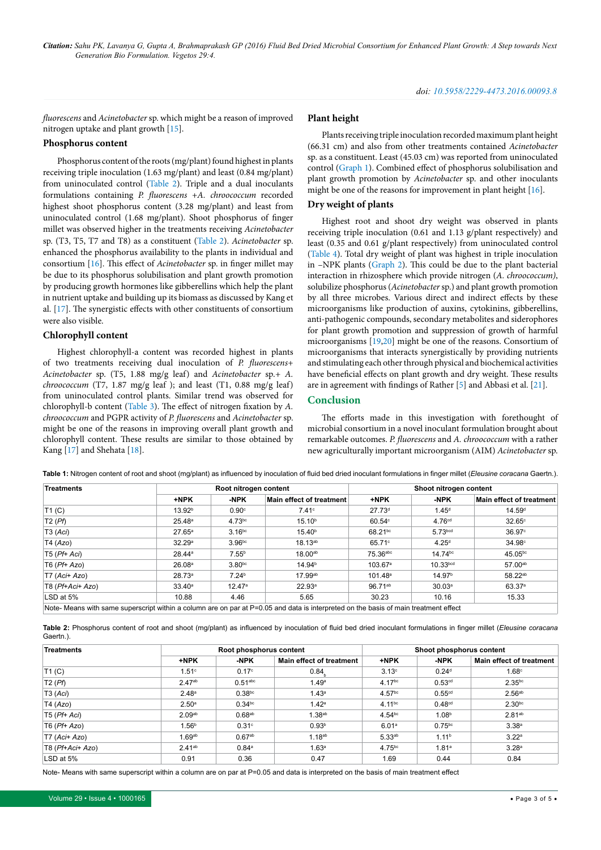*fluorescens* and *Acinetobacter* sp. which might be a reason of improved nitrogen uptake and plant growth [15].

### **Phosphorus content**

Phosphorus content of the roots (mg/plant) found highest in plants receiving triple inoculation (1.63 mg/plant) and least (0.84 mg/plant) from uninoculated control ([Table 2](#page-2-1)). Triple and a dual inoculants formulations containing *P. fluorescens* +*A. chroococcum* recorded highest shoot phosphorus content (3.28 mg/plant) and least from uninoculated control (1.68 mg/plant). Shoot phosphorus of finger millet was observed higher in the treatments receiving *Acinetobacter*  sp. (T3, T5, T7 and T8) as a constituent [\(Table 2\)](#page-2-1). *Acinetobacter* sp. enhanced the phosphorus availability to the plants in individual and consortium [[16](#page-4-8)]. This effect of *Acinetobacter* sp. in finger millet may be due to its phosphorus solubilisation and plant growth promotion by producing growth hormones like gibberellins which help the plant in nutrient uptake and building up its biomass as discussed by Kang et al. [\[17\]](#page-4-9). The synergistic effects with other constituents of consortium were also visible.

#### **Chlorophyll content**

Highest chlorophyll-a content was recorded highest in plants of two treatments receiving dual inoculation of *P. fluorescens+ Acinetobacter* sp. (T5, 1.88 mg/g leaf) and *Acinetobacter* sp.*+ A. chroococcum* (T7, 1.87 mg/g leaf); and least (T1, 0.88 mg/g leaf) from uninoculated control plants. Similar trend was observed for chlorophyll-b content ([Table 3\)](#page-3-6). The effect of nitrogen fixation by *A. chroococcum* and PGPR activity of *P. fluorescens* and *Acinetobacter* sp. might be one of the reasons in improving overall plant growth and chlorophyll content. These results are similar to those obtained by Kang [[17](#page-4-9)] and Shehata [\[18\]](#page-4-10).

#### **Plant height**

Plants receiving triple inoculation recorded maximum plant height (66.31 cm) and also from other treatments contained *Acinetobacter*  sp. as a constituent. Least (45.03 cm) was reported from uninoculated control ([Graph 1](#page-3-7)). Combined effect of phosphorus solubilisation and plant growth promotion by *Acinetobacter* sp. and other inoculants might be one of the reasons for improvement in plant height [\[16\]](#page-4-8).

#### **Dry weight of plants**

Highest root and shoot dry weight was observed in plants receiving triple inoculation (0.61 and 1.13 g/plant respectively) and least (0.35 and 0.61 g/plant respectively) from uninoculated control ([Table 4\)](#page-3-8). Total dry weight of plant was highest in triple inoculation in –NPK plants [\(Graph 2](#page-3-9)). This could be due to the plant bacterial interaction in rhizosphere which provide nitrogen (*A. chroococcum)*, solubilize phosphorus (*Acinetobacter* sp.) and plant growth promotion by all three microbes. Various direct and indirect effects by these microorganisms like production of auxins, cytokinins, gibberellins, anti-pathogenic compounds, secondary metabolites and siderophores for plant growth promotion and suppression of growth of harmful microorganisms [[19](#page-4-11),[20](#page-4-12)] might be one of the reasons. Consortium of microorganisms that interacts synergistically by providing nutrients and stimulating each other through physical and biochemical activities have beneficial effects on plant growth and dry weight. These results are in agreement with findings of Rather [[5](#page-3-4)] and Abbasi et al. [[21](#page-4-13)].

#### **Conclusion**

The efforts made in this investigation with forethought of microbial consortium in a novel inoculant formulation brought about remarkable outcomes. *P. fluorescens* and *A. chroococcum* with a rather new agriculturally important microorganism (AIM) *Acinetobacter* sp.

| <b>Treatments</b>                                                                                                                    | Root nitrogen content |                    |                          | Shoot nitrogen content |                      |                          |  |
|--------------------------------------------------------------------------------------------------------------------------------------|-----------------------|--------------------|--------------------------|------------------------|----------------------|--------------------------|--|
|                                                                                                                                      | +NPK                  | -NPK               | Main effect of treatment | +NPK                   | -NPK                 | Main effect of treatment |  |
| T1(C)                                                                                                                                | 13.92 <sup>b</sup>    | $0.90^\circ$       | 7.41 <sup>c</sup>        | 27.73 <sup>d</sup>     | 1.45 <sup>d</sup>    | 14.59 <sup>d</sup>       |  |
| T2(Pf)                                                                                                                               | 25.48a                | $4.73^{bc}$        | 15.10 <sup>b</sup>       | $60.54^\circ$          | 4.76 <sup>cd</sup>   | $32.65^\circ$            |  |
| T3 (Aci)                                                                                                                             | $27.65^{\circ}$       | 3.16 <sup>bc</sup> | 15.40 <sup>b</sup>       | 68.21 <sup>bc</sup>    | 5.73 <sub>bcd</sub>  | 36.97°                   |  |
| T4 (Azo)                                                                                                                             | 32.29 <sup>a</sup>    | 3.96 <sup>bc</sup> | $18.13^{ab}$             | 65.71°                 | $4.25^{\circ}$       | 34.98c                   |  |
| $T5$ (Pf+ Aci)                                                                                                                       | 28.44 <sup>a</sup>    | $7.55^{b}$         | 18.00ab                  | 75.36abc               | 14.74bc              | 45.05bc                  |  |
| $T6$ ( $Pf+Azo$ )                                                                                                                    | 26.08 <sup>a</sup>    | 3.80 <sub>bc</sub> | 14.94 <sup>b</sup>       | $103.67^{\circ}$       | 10.33 <sup>bcd</sup> | 57.00ab                  |  |
| $T7 (Aci+Azo)$                                                                                                                       | 28.73a                | 7.24 <sup>b</sup>  | 17.99ab                  | 101.48 <sup>a</sup>    | 14.97 <sup>b</sup>   | 58.22ab                  |  |
| T8 (Pf+Aci+ Azo)                                                                                                                     | $33.40^a$             | 12.47 <sup>a</sup> | 22.93 <sup>a</sup>       | 96.71 <sup>ab</sup>    | 30.03 <sup>a</sup>   | 63.37 <sup>a</sup>       |  |
| LSD at 5%                                                                                                                            | 10.88                 | 4.46               | 5.65                     | 30.23                  | 10.16                | 15.33                    |  |
| Note- Means with same superscript within a column are on par at P=0.05 and data is interpreted on the basis of main treatment effect |                       |                    |                          |                        |                      |                          |  |

<span id="page-2-0"></span>**Table 1:** Nitrogen content of root and shoot (mg/plant) as influenced by inoculation of fluid bed dried inoculant formulations in finger millet (*Eleusine coracana* Gaertn.).

<span id="page-2-1"></span>**Table 2:** Phosphorus content of root and shoot (mg/plant) as influenced by inoculation of fluid bed dried inoculant formulations in finger millet (*Eleusine coracana*  Gaertn.).

| Treatments        | Root phosphorus content |                       |                                 | Shoot phosphorus content |                    |                          |  |
|-------------------|-------------------------|-----------------------|---------------------------------|--------------------------|--------------------|--------------------------|--|
|                   | +NPK                    | -NPK                  | <b>Main effect of treatment</b> | +NPK                     | -NPK               | Main effect of treatment |  |
| T1(C)             | $1.51^\circ$            | 0.17 <sup>c</sup>     | 0.84                            | 3.13 <sup>c</sup>        | 0.24 <sup>d</sup>  | $1.68^\circ$             |  |
| T2(Pf)            | 2.47ab                  | $0.51$ <sup>abc</sup> | 1.49a                           | $4.17^{bc}$              | 0.53 <sup>cd</sup> | $2.35^{bc}$              |  |
| T3 (Aci)          | 2.48 <sup>a</sup>       | $0.38^{bc}$           | 1.43 <sup>a</sup>               | 4.57bc                   | 0.55 <sup>cd</sup> | 2.56 <sup>ab</sup>       |  |
| T4 (Azo)          | 2.50 <sup>a</sup>       | 0.34 <sup>bc</sup>    | 1.42 <sup>a</sup>               | 4.11 <sup>bc</sup>       | 0.48 <sup>cd</sup> | 2.30 <sub>bc</sub>       |  |
| $T5$ (Pf+ Aci)    | 2.09 <sup>ab</sup>      | $0.68^{ab}$           | 1.38 <sup>ab</sup>              | $4.54^{bc}$              | 1.08 <sup>b</sup>  | $2.81^{ab}$              |  |
| $T6$ ( $Pf+Azo$ ) | $1.56^{\circ}$          | 0.31 <sup>c</sup>     | 0.93 <sup>b</sup>               | 6.01a                    | 0.75 <sup>bc</sup> | 3.38 <sup>a</sup>        |  |
| $TT (Aci+ Azo)$   | 1.69 <sup>ab</sup>      | $0.67^{ab}$           | $1.18^{ab}$                     | 5.33 <sup>ab</sup>       | 1.11 <sup>b</sup>  | 3.22 <sup>a</sup>        |  |
| T8 (Pf+Aci+ Azo)  | 2.41 <sup>ab</sup>      | 0.84a                 | 1.63 <sup>a</sup>               | $4.75^{bc}$              | 1.81 <sup>a</sup>  | 3.28 <sup>a</sup>        |  |
| LSD at 5%         | 0.91                    | 0.36                  | 0.47                            | 1.69                     | 0.44               | 0.84                     |  |

Note- Means with same superscript within a column are on par at P=0.05 and data is interpreted on the basis of main treatment effect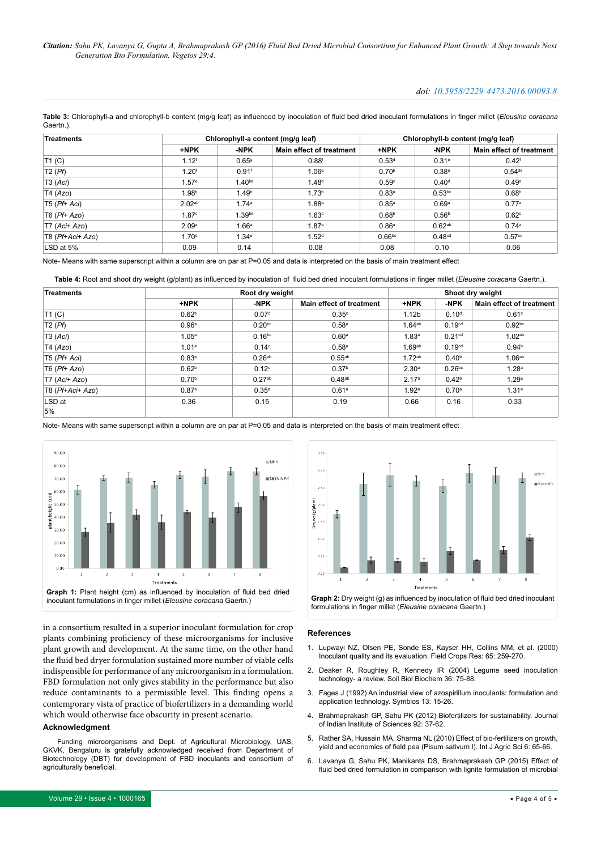#### *doi: 10.5958/2229-4473.2016.00093.8*

<span id="page-3-6"></span>**Table 3:** Chlorophyll-a and chlorophyll-b content (mg/g leaf) as influenced by inoculation of fluid bed dried inoculant formulations in finger millet (*Eleusine coracana*  Gaertn.).

| <b>Treatments</b> |                    | Chlorophyll-a content (mg/g leaf) |                          | Chlorophyll-b content (mg/g leaf) |                    |                                 |  |
|-------------------|--------------------|-----------------------------------|--------------------------|-----------------------------------|--------------------|---------------------------------|--|
|                   | +NPK               | -NPK                              | Main effect of treatment | +NPK                              | -NPK               | <b>Main effect of treatment</b> |  |
| T1(C)             | $1.12^{f}$         | 0.659                             | 0.88 <sup>f</sup>        | 0.53 <sup>d</sup>                 | $0.31^e$           | $0.42^{\text{f}}$               |  |
| T2(Pf)            | 1.20 <sup>f</sup>  | $0.91$ <sup>f</sup>               | 1.06e                    | 0.70 <sup>b</sup>                 | 0.38 <sup>e</sup>  | $0.54$ <sup>de</sup>            |  |
| T3 (Aci)          | 1.57 <sup>e</sup>  | 1.40 <sub>be</sub>                | 1.48 <sup>d</sup>        | 0.59 <sup>c</sup>                 | 0.40 <sup>d</sup>  | 0.49e                           |  |
| T4 (Azo)          | 1.98 <sup>b</sup>  | 1.49 <sup>b</sup>                 | 1.73 <sup>b</sup>        | 0.83 <sup>a</sup>                 | 0.53 <sup>bc</sup> | 0.68 <sup>b</sup>               |  |
| $T5$ (Pf+ Aci)    | 2.02 <sup>ab</sup> | 1.74a                             | $1.88$ a                 | $0.85^{\circ}$                    | 0.69a              | 0.77a                           |  |
| $T6$ ( $Pf+Azo$ ) | 1.87 <sup>c</sup>  | 1.39 <sub>be</sub>                | 1.63 <sup>c</sup>        | 0.68 <sup>b</sup>                 | 0.56 <sup>b</sup>  | $0.62^\circ$                    |  |
| $T7 (Aci+ Azo)$   | 2.09 <sup>a</sup>  | $1.66^{\mathrm{a}}$               | 1.87 <sup>a</sup>        | 0.86 <sup>a</sup>                 | 0.62 <sup>ab</sup> | 0.74a                           |  |
| T8 (Pf+Aci+ Azo)  | 1.70 <sup>d</sup>  | $1.34^e$                          | 1.52 <sup>d</sup>        | 0.66 <sup>bc</sup>                | 0.48 <sup>cd</sup> | 0.57 <sup>cd</sup>              |  |
| LSD at 5%         | 0.09               | 0.14                              | 0.08                     | 0.08                              | 0.10               | 0.06                            |  |

Note- Means with same superscript within a column are on par at P=0.05 and data is interpreted on the basis of main treatment effect

<span id="page-3-8"></span>**Table 4:** Root and shoot dry weight (g/plant) as influenced by inoculation of fluid bed dried inoculant formulations in finger millet (*Eleusine coracana* Gaertn.).

| <b>Treatments</b> |                   | Root dry weight    | Shoot dry weight                |                    |                    |                          |
|-------------------|-------------------|--------------------|---------------------------------|--------------------|--------------------|--------------------------|
|                   | +NPK              | -NPK               | <b>Main effect of treatment</b> | +NPK               | -NPK               | Main effect of treatment |
| T1(C)             | 0.62 <sup>b</sup> | 0.07c              | 0.35 <sup>c</sup>               | 1.12 <sub>b</sub>  | 0.10 <sup>d</sup>  | 0.61 <sup>c</sup>        |
| T2(Pf)            | 0.96 <sup>a</sup> | $0.20^{bc}$        | 0.58 <sup>a</sup>               | $1.64^{ab}$        | 0.19 <sup>cd</sup> | 0.92 <sup>bc</sup>       |
| T3 (Aci)          | 1.05 <sup>a</sup> | $0.16^{bc}$        | 0.60 <sup>a</sup>               | 1.83 <sup>a</sup>  | 0.21 <sup>cd</sup> | 1.02 <sup>ab</sup>       |
| T4 (Azo)          | 1.01 <sup>a</sup> | 0.14 <sup>c</sup>  | 0.58 <sup>a</sup>               | 1.69 <sup>ab</sup> | 0.19 <sup>cd</sup> | 0.94 <sup>b</sup>        |
| $T5$ ( $Pf+Aci$ ) | 0.83 <sup>a</sup> | 0.26 <sup>ab</sup> | $0.55^{ab}$                     | $1.72^{ab}$        | 0.40 <sup>b</sup>  | 1.06 <sup>ab</sup>       |
| $T6$ ( $Pf+Azo$ ) | 0.62 <sup>b</sup> | 0.12 <sup>c</sup>  | 0.37 <sup>b</sup>               | 2.30 <sup>a</sup>  | 0.26 <sup>bc</sup> | 1.28 <sup>a</sup>        |
| $T7 (Aci+ Azo)$   | 0.70 <sup>b</sup> | 0.27 <sup>ab</sup> | 0.48 <sup>ab</sup>              | 2.17 <sup>a</sup>  | 0.42 <sup>b</sup>  | 1.29 <sup>a</sup>        |
| T8 (Pf+Aci+ Azo)  | 0.87 <sup>a</sup> | $0.35^{a}$         | 0.61 <sup>a</sup>               | 1.92 <sup>a</sup>  | 0.70 <sup>a</sup>  | 1.31 <sup>a</sup>        |
| LSD at            | 0.36              | 0.15               | 0.19                            | 0.66               | 0.16               | 0.33                     |
| 5%                |                   |                    |                                 |                    |                    |                          |

Note- Means with same superscript within a column are on par at P=0.05 and data is interpreted on the basis of main treatment effect

<span id="page-3-7"></span>

in a consortium resulted in a superior inoculant formulation for crop plants combining proficiency of these microorganisms for inclusive plant growth and development. At the same time, on the other hand the fluid bed dryer formulation sustained more number of viable cells indispensible for performance of any microorganism in a formulation. FBD formulation not only gives stability in the performance but also reduce contaminants to a permissible level. This finding opens a contemporary vista of practice of biofertilizers in a demanding world which would otherwise face obscurity in present scenario.

#### **Acknowledgment**

Funding microorganisms and Dept. of Agricultural Microbiology, UAS, GKVK, Bengaluru is gratefully acknowledged received from Department of Biotechnology (DBT) for development of FBD inoculants and consortium of agriculturally beneficial.

<span id="page-3-9"></span>

**References**

- <span id="page-3-0"></span>1. [Lupwayi NZ, Olsen PE, Sonde ES, Kayser HH, Collins MM, et al. \(2000\)](http://www.sciencedirect.com/science/article/pii/S037842909900091X)  [Inoculant quality and its evaluation. Field Crops Res: 65: 259-270.](http://www.sciencedirect.com/science/article/pii/S037842909900091X)
- <span id="page-3-1"></span>2. [Deaker R, Roughley R, Kennedy IR \(2004\) Legume seed inoculation](http://www.sciencedirect.com/science/article/pii/S0038071704001269)  [technology- a review. Soil Biol Biochem 36: 75-88.](http://www.sciencedirect.com/science/article/pii/S0038071704001269)
- <span id="page-3-2"></span>3. [Fages J \(1992\) An industrial view of azospirillum inoculants: formulation and](http://agris.fao.org/agris-search/search.do?recordID=US201301767942)  [application technology. Symbios 13: 15-26.](http://agris.fao.org/agris-search/search.do?recordID=US201301767942)
- <span id="page-3-3"></span>4. [Brahmaprakash GP, Sahu PK \(2012\) Biofertilizers for sustainability. Journal](http://journal.library.iisc.ernet.in/index.php/iisc/article/view/22)  [of Indian Institute of Sciences 92: 37-62.](http://journal.library.iisc.ernet.in/index.php/iisc/article/view/22)
- <span id="page-3-4"></span>5. [Rather SA, Hussain MA, Sharma NL \(2010\) Effect of bio-fertilizers on growth,](http://www.researchjournal.co.in/upload/assignments/6_65-66.pdf)  [yield and economics of field pea \(Pisum sativum l\). Int J Agric Sci 6: 65-66.](http://www.researchjournal.co.in/upload/assignments/6_65-66.pdf)
- <span id="page-3-5"></span>6. Lavanya G, Sahu PK, Manikanta DS, Brahmaprakash GP (2015) Effect of fluid bed dried formulation in comparison with lignite formulation of microbial